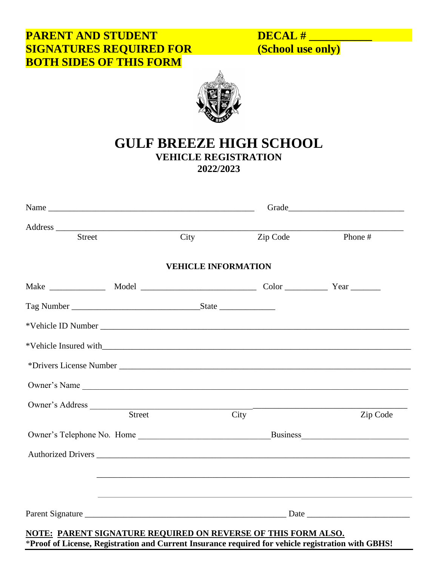# **PARENT AND STUDENT DECAL # \_\_\_\_\_\_\_\_\_\_\_ SIGNATURES REQUIRED FOR BOTH SIDES OF THIS FORM**



# **GULF BREEZE HIGH SCHOOL VEHICLE REGISTRATION 2022/2023**

|        |      | Phone #                                                        |
|--------|------|----------------------------------------------------------------|
|        |      |                                                                |
|        |      |                                                                |
|        |      |                                                                |
|        |      |                                                                |
|        |      |                                                                |
|        |      |                                                                |
|        |      |                                                                |
|        |      |                                                                |
|        |      |                                                                |
|        |      | Zip Code                                                       |
|        |      |                                                                |
|        |      |                                                                |
|        |      |                                                                |
|        |      |                                                                |
|        |      |                                                                |
| Street | City | Zip Code<br><b>VEHICLE INFORMATION</b><br>Owner's Name<br>City |

\***Proof of License, Registration and Current Insurance required for vehicle registration with GBHS!**